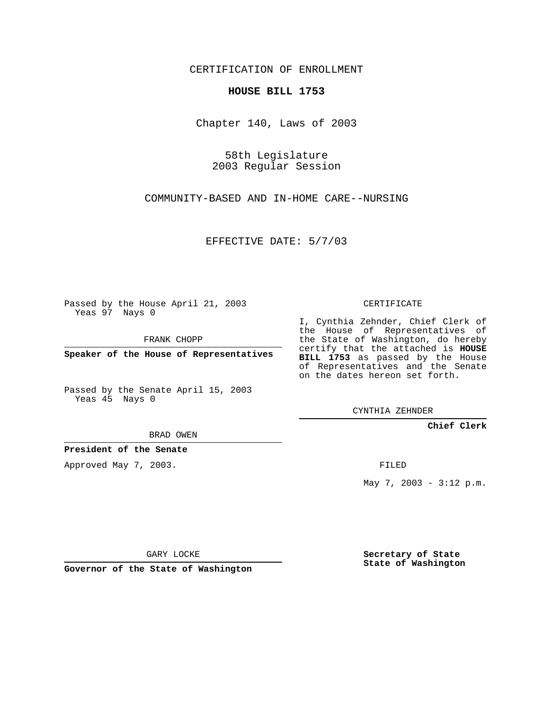CERTIFICATION OF ENROLLMENT

## **HOUSE BILL 1753**

Chapter 140, Laws of 2003

58th Legislature 2003 Regular Session

COMMUNITY-BASED AND IN-HOME CARE--NURSING

EFFECTIVE DATE: 5/7/03

Passed by the House April 21, 2003 Yeas 97 Nays 0

FRANK CHOPP

**Speaker of the House of Representatives**

Passed by the Senate April 15, 2003 Yeas 45 Nays 0

BRAD OWEN

**President of the Senate**

Approved May 7, 2003.

CERTIFICATE

I, Cynthia Zehnder, Chief Clerk of the House of Representatives of the State of Washington, do hereby certify that the attached is **HOUSE BILL 1753** as passed by the House of Representatives and the Senate on the dates hereon set forth.

CYNTHIA ZEHNDER

**Chief Clerk**

FILED

May 7, 2003 - 3:12 p.m.

GARY LOCKE

**Governor of the State of Washington**

**Secretary of State State of Washington**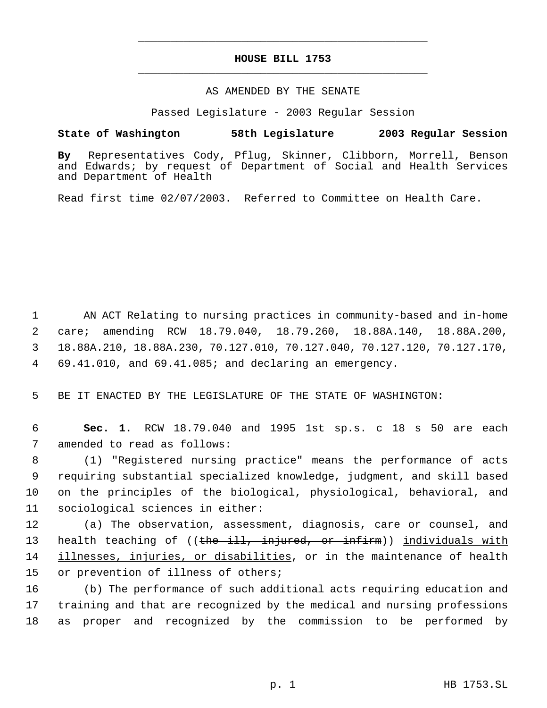## **HOUSE BILL 1753** \_\_\_\_\_\_\_\_\_\_\_\_\_\_\_\_\_\_\_\_\_\_\_\_\_\_\_\_\_\_\_\_\_\_\_\_\_\_\_\_\_\_\_\_\_

\_\_\_\_\_\_\_\_\_\_\_\_\_\_\_\_\_\_\_\_\_\_\_\_\_\_\_\_\_\_\_\_\_\_\_\_\_\_\_\_\_\_\_\_\_

## AS AMENDED BY THE SENATE

Passed Legislature - 2003 Regular Session

## **State of Washington 58th Legislature 2003 Regular Session**

**By** Representatives Cody, Pflug, Skinner, Clibborn, Morrell, Benson and Edwards; by request of Department of Social and Health Services and Department of Health

Read first time 02/07/2003. Referred to Committee on Health Care.

 AN ACT Relating to nursing practices in community-based and in-home care; amending RCW 18.79.040, 18.79.260, 18.88A.140, 18.88A.200, 18.88A.210, 18.88A.230, 70.127.010, 70.127.040, 70.127.120, 70.127.170, 69.41.010, and 69.41.085; and declaring an emergency.

5 BE IT ENACTED BY THE LEGISLATURE OF THE STATE OF WASHINGTON:

 6 **Sec. 1.** RCW 18.79.040 and 1995 1st sp.s. c 18 s 50 are each 7 amended to read as follows:

 (1) "Registered nursing practice" means the performance of acts requiring substantial specialized knowledge, judgment, and skill based on the principles of the biological, physiological, behavioral, and sociological sciences in either:

12 (a) The observation, assessment, diagnosis, care or counsel, and 13 health teaching of ((the ill, injured, or infirm)) individuals with 14 illnesses, injuries, or disabilities, or in the maintenance of health 15 or prevention of illness of others;

16 (b) The performance of such additional acts requiring education and 17 training and that are recognized by the medical and nursing professions 18 as proper and recognized by the commission to be performed by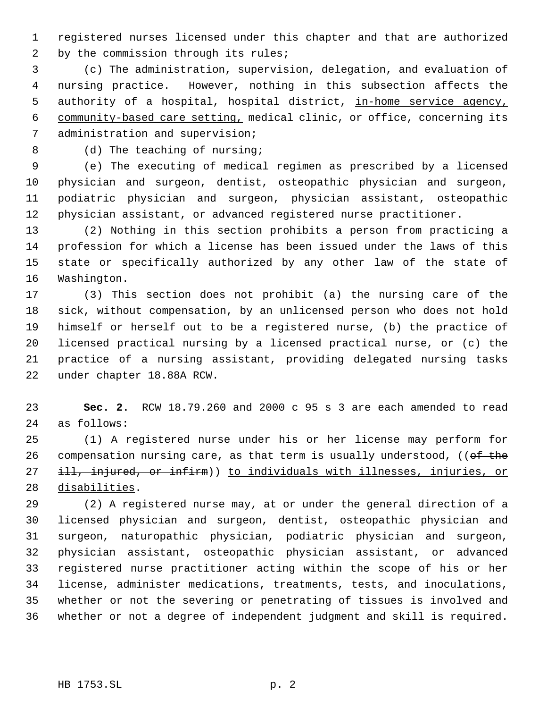registered nurses licensed under this chapter and that are authorized 2 by the commission through its rules;

 (c) The administration, supervision, delegation, and evaluation of nursing practice. However, nothing in this subsection affects the 5 authority of a hospital, hospital district, in-home service agency, community-based care setting, medical clinic, or office, concerning its administration and supervision;

8 (d) The teaching of nursing;

 (e) The executing of medical regimen as prescribed by a licensed physician and surgeon, dentist, osteopathic physician and surgeon, podiatric physician and surgeon, physician assistant, osteopathic physician assistant, or advanced registered nurse practitioner.

 (2) Nothing in this section prohibits a person from practicing a profession for which a license has been issued under the laws of this state or specifically authorized by any other law of the state of Washington.

 (3) This section does not prohibit (a) the nursing care of the sick, without compensation, by an unlicensed person who does not hold himself or herself out to be a registered nurse, (b) the practice of licensed practical nursing by a licensed practical nurse, or (c) the practice of a nursing assistant, providing delegated nursing tasks under chapter 18.88A RCW.

 **Sec. 2.** RCW 18.79.260 and 2000 c 95 s 3 are each amended to read as follows:

 (1) A registered nurse under his or her license may perform for 26 compensation nursing care, as that term is usually understood, (( $\theta$ f the 27 ill, injured, or infirm)) to individuals with illnesses, injuries, or disabilities.

 (2) A registered nurse may, at or under the general direction of a licensed physician and surgeon, dentist, osteopathic physician and surgeon, naturopathic physician, podiatric physician and surgeon, physician assistant, osteopathic physician assistant, or advanced registered nurse practitioner acting within the scope of his or her license, administer medications, treatments, tests, and inoculations, whether or not the severing or penetrating of tissues is involved and whether or not a degree of independent judgment and skill is required.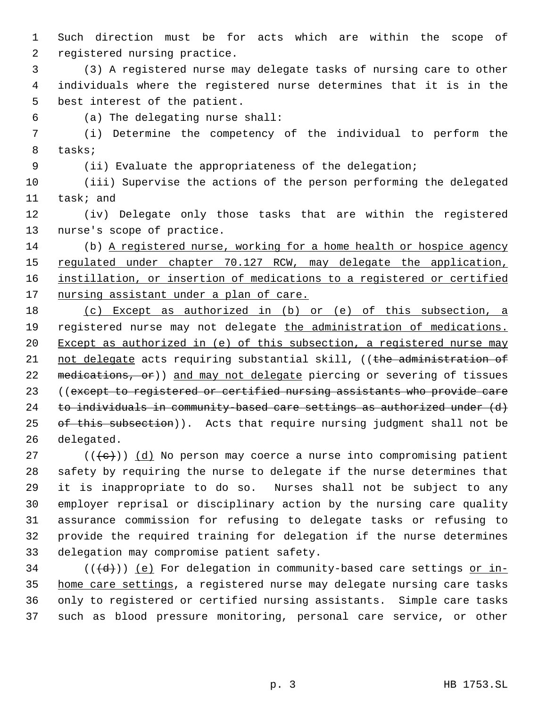Such direction must be for acts which are within the scope of registered nursing practice.

 (3) A registered nurse may delegate tasks of nursing care to other individuals where the registered nurse determines that it is in the best interest of the patient.

(a) The delegating nurse shall:

 (i) Determine the competency of the individual to perform the tasks;

(ii) Evaluate the appropriateness of the delegation;

 (iii) Supervise the actions of the person performing the delegated task; and

 (iv) Delegate only those tasks that are within the registered nurse's scope of practice.

 (b) A registered nurse, working for a home health or hospice agency 15 regulated under chapter 70.127 RCW, may delegate the application, instillation, or insertion of medications to a registered or certified 17 nursing assistant under a plan of care.

 (c) Except as authorized in (b) or (e) of this subsection, a 19 registered nurse may not delegate the administration of medications. Except as authorized in (e) of this subsection, a registered nurse may 21 not delegate acts requiring substantial skill, ((the administration of 22 medications, or)) and may not delegate piercing or severing of tissues 23 ((except to registered or certified nursing assistants who provide care 24 to individuals in community-based care settings as authorized under (d) 25 of this subsection)). Acts that require nursing judgment shall not be delegated.

27 ( $(\langle +e \rangle)$ ) (d) No person may coerce a nurse into compromising patient safety by requiring the nurse to delegate if the nurse determines that it is inappropriate to do so. Nurses shall not be subject to any employer reprisal or disciplinary action by the nursing care quality assurance commission for refusing to delegate tasks or refusing to provide the required training for delegation if the nurse determines delegation may compromise patient safety.

34 ( $(\overline{d})$ ) (e) For delegation in community-based care settings or in-35 home care settings, a registered nurse may delegate nursing care tasks only to registered or certified nursing assistants. Simple care tasks such as blood pressure monitoring, personal care service, or other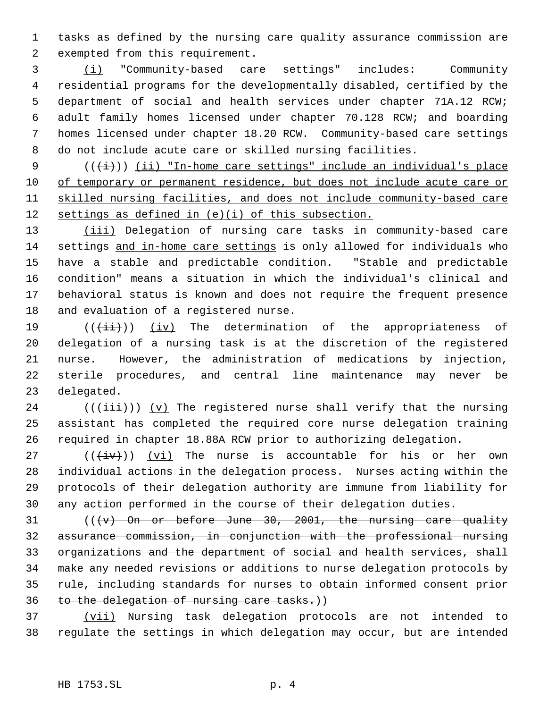tasks as defined by the nursing care quality assurance commission are exempted from this requirement.

 (i) "Community-based care settings" includes: Community residential programs for the developmentally disabled, certified by the department of social and health services under chapter 71A.12 RCW; adult family homes licensed under chapter 70.128 RCW; and boarding homes licensed under chapter 18.20 RCW. Community-based care settings do not include acute care or skilled nursing facilities.

9  $((\overleftrightarrow{t}))$  (ii) "In-home care settings" include an individual's place 10 of temporary or permanent residence, but does not include acute care or skilled nursing facilities, and does not include community-based care 12 settings as defined in (e)(i) of this subsection.

13 (iii) Delegation of nursing care tasks in community-based care 14 settings and in-home care settings is only allowed for individuals who have a stable and predictable condition. "Stable and predictable condition" means a situation in which the individual's clinical and behavioral status is known and does not require the frequent presence and evaluation of a registered nurse.

 $((\{\pm i\})$  (iv) The determination of the appropriateness of delegation of a nursing task is at the discretion of the registered nurse. However, the administration of medications by injection, sterile procedures, and central line maintenance may never be delegated.

24 ( $(\{\pm i\}\})$  (v) The registered nurse shall verify that the nursing assistant has completed the required core nurse delegation training required in chapter 18.88A RCW prior to authorizing delegation.

27 ( $(\overleftrightarrow{iv})$ ) (vi) The nurse is accountable for his or her own individual actions in the delegation process. Nurses acting within the protocols of their delegation authority are immune from liability for any action performed in the course of their delegation duties.

 $((\forall)$  On or before June 30, 2001, the nursing care quality assurance commission, in conjunction with the professional nursing organizations and the department of social and health services, shall make any needed revisions or additions to nurse delegation protocols by rule, including standards for nurses to obtain informed consent prior to the delegation of nursing care tasks.))

37 (vii) Nursing task delegation protocols are not intended to regulate the settings in which delegation may occur, but are intended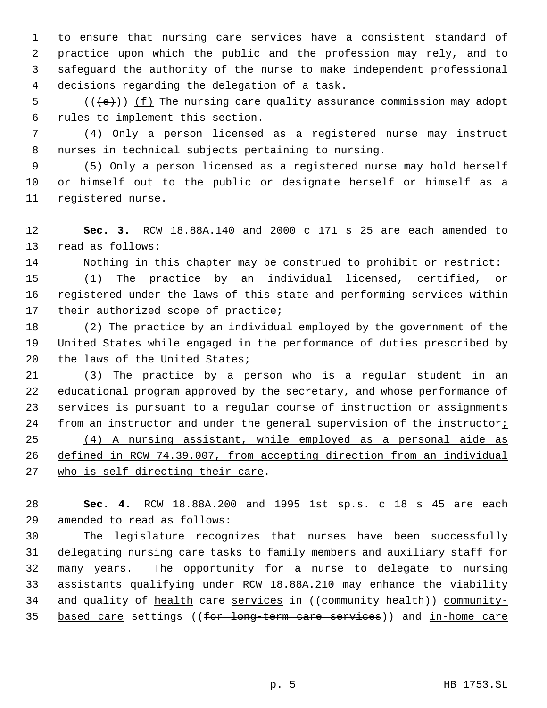to ensure that nursing care services have a consistent standard of practice upon which the public and the profession may rely, and to safeguard the authority of the nurse to make independent professional decisions regarding the delegation of a task.

5  $((\{e\}) \cup (\{f\})$  The nursing care quality assurance commission may adopt rules to implement this section.

 (4) Only a person licensed as a registered nurse may instruct nurses in technical subjects pertaining to nursing.

 (5) Only a person licensed as a registered nurse may hold herself or himself out to the public or designate herself or himself as a registered nurse.

 **Sec. 3.** RCW 18.88A.140 and 2000 c 171 s 25 are each amended to read as follows:

Nothing in this chapter may be construed to prohibit or restrict:

 (1) The practice by an individual licensed, certified, or registered under the laws of this state and performing services within 17 their authorized scope of practice;

 (2) The practice by an individual employed by the government of the United States while engaged in the performance of duties prescribed by the laws of the United States;

 (3) The practice by a person who is a regular student in an educational program approved by the secretary, and whose performance of services is pursuant to a regular course of instruction or assignments 24 from an instructor and under the general supervision of the instructor;

 (4) A nursing assistant, while employed as a personal aide as defined in RCW 74.39.007, from accepting direction from an individual 27 who is self-directing their care.

 **Sec. 4.** RCW 18.88A.200 and 1995 1st sp.s. c 18 s 45 are each amended to read as follows:

 The legislature recognizes that nurses have been successfully delegating nursing care tasks to family members and auxiliary staff for many years. The opportunity for a nurse to delegate to nursing assistants qualifying under RCW 18.88A.210 may enhance the viability 34 and quality of health care services in ((community health)) community-35 based care settings ((for long-term care services)) and in-home care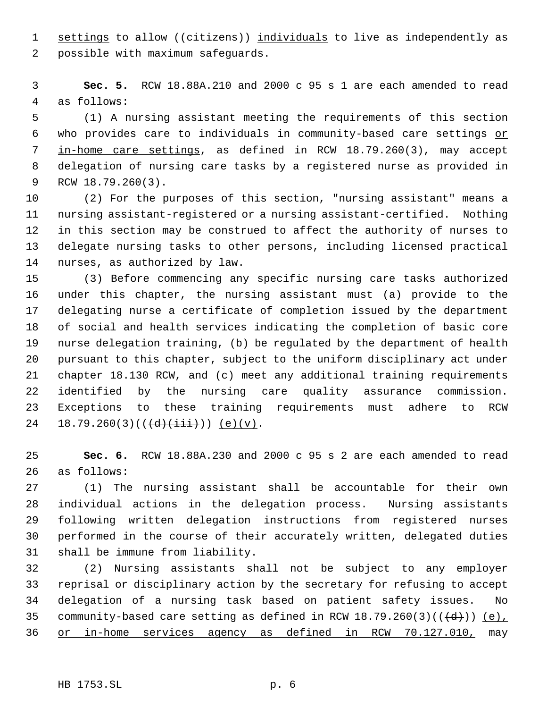1 settings to allow ((citizens)) individuals to live as independently as possible with maximum safeguards.

 **Sec. 5.** RCW 18.88A.210 and 2000 c 95 s 1 are each amended to read as follows:

 (1) A nursing assistant meeting the requirements of this section 6 who provides care to individuals in community-based care settings or in-home care settings, as defined in RCW 18.79.260(3), may accept delegation of nursing care tasks by a registered nurse as provided in RCW 18.79.260(3).

 (2) For the purposes of this section, "nursing assistant" means a nursing assistant-registered or a nursing assistant-certified. Nothing in this section may be construed to affect the authority of nurses to delegate nursing tasks to other persons, including licensed practical nurses, as authorized by law.

 (3) Before commencing any specific nursing care tasks authorized under this chapter, the nursing assistant must (a) provide to the delegating nurse a certificate of completion issued by the department of social and health services indicating the completion of basic core nurse delegation training, (b) be regulated by the department of health pursuant to this chapter, subject to the uniform disciplinary act under chapter 18.130 RCW, and (c) meet any additional training requirements identified by the nursing care quality assurance commission. Exceptions to these training requirements must adhere to RCW 24 18.79.260(3)( $(\overrightarrow{d})(\overrightarrow{iii})$ ) (e)(v).

 **Sec. 6.** RCW 18.88A.230 and 2000 c 95 s 2 are each amended to read as follows:

 (1) The nursing assistant shall be accountable for their own individual actions in the delegation process. Nursing assistants following written delegation instructions from registered nurses performed in the course of their accurately written, delegated duties shall be immune from liability.

 (2) Nursing assistants shall not be subject to any employer reprisal or disciplinary action by the secretary for refusing to accept delegation of a nursing task based on patient safety issues. No 35 community-based care setting as defined in RCW  $18.79.260(3)((\{d\}))$  (e), or in-home services agency as defined in RCW 70.127.010, may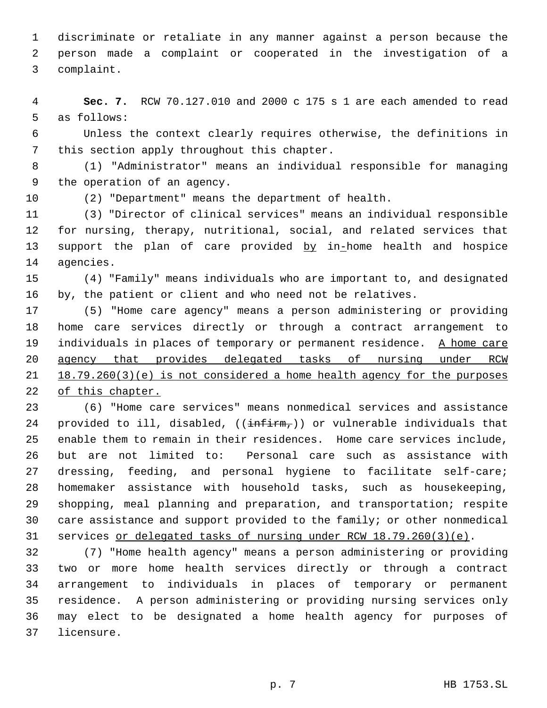discriminate or retaliate in any manner against a person because the person made a complaint or cooperated in the investigation of a complaint.

 **Sec. 7.** RCW 70.127.010 and 2000 c 175 s 1 are each amended to read as follows:

 Unless the context clearly requires otherwise, the definitions in this section apply throughout this chapter.

 (1) "Administrator" means an individual responsible for managing the operation of an agency.

(2) "Department" means the department of health.

 (3) "Director of clinical services" means an individual responsible for nursing, therapy, nutritional, social, and related services that 13 support the plan of care provided by in-home health and hospice agencies.

 (4) "Family" means individuals who are important to, and designated by, the patient or client and who need not be relatives.

 (5) "Home care agency" means a person administering or providing home care services directly or through a contract arrangement to 19 individuals in places of temporary or permanent residence. A home care agency that provides delegated tasks of nursing under RCW 18.79.260(3)(e) is not considered a home health agency for the purposes of this chapter.

 (6) "Home care services" means nonmedical services and assistance 24 provided to ill, disabled, ((infirm,)) or vulnerable individuals that enable them to remain in their residences. Home care services include, but are not limited to: Personal care such as assistance with dressing, feeding, and personal hygiene to facilitate self-care; homemaker assistance with household tasks, such as housekeeping, shopping, meal planning and preparation, and transportation; respite care assistance and support provided to the family; or other nonmedical services or delegated tasks of nursing under RCW 18.79.260(3)(e).

 (7) "Home health agency" means a person administering or providing two or more home health services directly or through a contract arrangement to individuals in places of temporary or permanent residence. A person administering or providing nursing services only may elect to be designated a home health agency for purposes of licensure.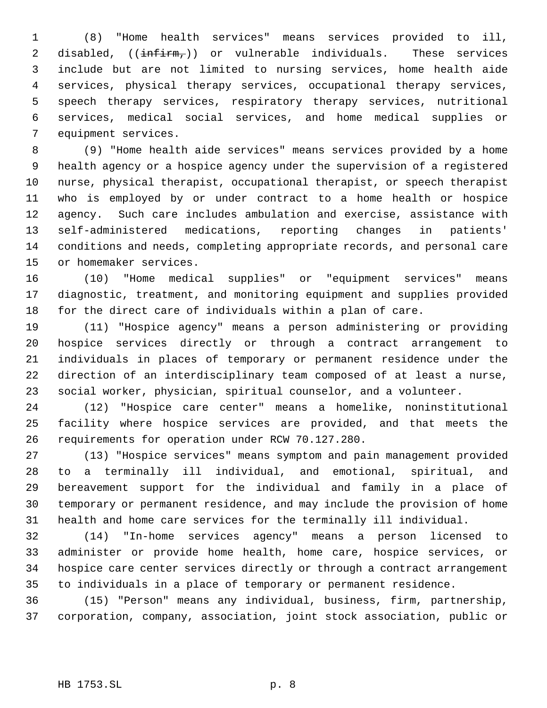(8) "Home health services" means services provided to ill, 2 disabled, (( $\frac{infirm}{i}$ )) or vulnerable individuals. These services include but are not limited to nursing services, home health aide services, physical therapy services, occupational therapy services, speech therapy services, respiratory therapy services, nutritional services, medical social services, and home medical supplies or equipment services.

 (9) "Home health aide services" means services provided by a home health agency or a hospice agency under the supervision of a registered nurse, physical therapist, occupational therapist, or speech therapist who is employed by or under contract to a home health or hospice agency. Such care includes ambulation and exercise, assistance with self-administered medications, reporting changes in patients' conditions and needs, completing appropriate records, and personal care or homemaker services.

 (10) "Home medical supplies" or "equipment services" means diagnostic, treatment, and monitoring equipment and supplies provided for the direct care of individuals within a plan of care.

 (11) "Hospice agency" means a person administering or providing hospice services directly or through a contract arrangement to individuals in places of temporary or permanent residence under the direction of an interdisciplinary team composed of at least a nurse, social worker, physician, spiritual counselor, and a volunteer.

 (12) "Hospice care center" means a homelike, noninstitutional facility where hospice services are provided, and that meets the requirements for operation under RCW 70.127.280.

 (13) "Hospice services" means symptom and pain management provided to a terminally ill individual, and emotional, spiritual, and bereavement support for the individual and family in a place of temporary or permanent residence, and may include the provision of home health and home care services for the terminally ill individual.

 (14) "In-home services agency" means a person licensed to administer or provide home health, home care, hospice services, or hospice care center services directly or through a contract arrangement to individuals in a place of temporary or permanent residence.

 (15) "Person" means any individual, business, firm, partnership, corporation, company, association, joint stock association, public or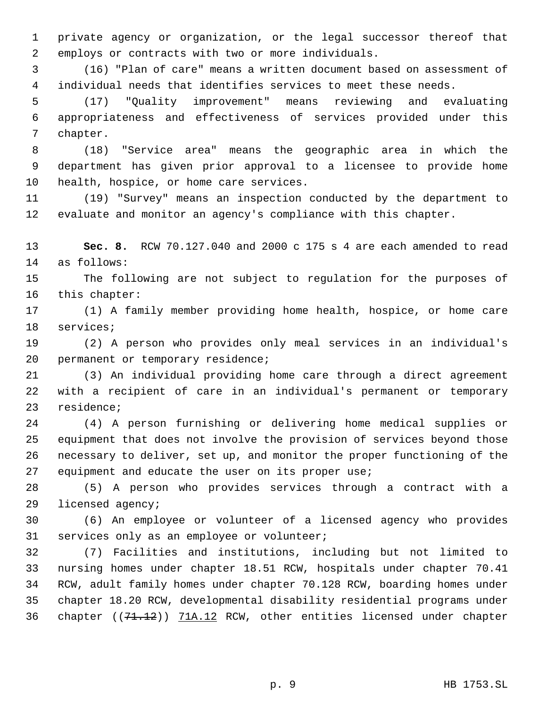private agency or organization, or the legal successor thereof that employs or contracts with two or more individuals.

 (16) "Plan of care" means a written document based on assessment of individual needs that identifies services to meet these needs.

 (17) "Quality improvement" means reviewing and evaluating appropriateness and effectiveness of services provided under this chapter.

 (18) "Service area" means the geographic area in which the department has given prior approval to a licensee to provide home health, hospice, or home care services.

 (19) "Survey" means an inspection conducted by the department to evaluate and monitor an agency's compliance with this chapter.

 **Sec. 8.** RCW 70.127.040 and 2000 c 175 s 4 are each amended to read as follows:

 The following are not subject to regulation for the purposes of this chapter:

 (1) A family member providing home health, hospice, or home care services;

 (2) A person who provides only meal services in an individual's 20 permanent or temporary residence;

 (3) An individual providing home care through a direct agreement with a recipient of care in an individual's permanent or temporary residence;

 (4) A person furnishing or delivering home medical supplies or equipment that does not involve the provision of services beyond those necessary to deliver, set up, and monitor the proper functioning of the equipment and educate the user on its proper use;

 (5) A person who provides services through a contract with a licensed agency;

 (6) An employee or volunteer of a licensed agency who provides services only as an employee or volunteer;

 (7) Facilities and institutions, including but not limited to nursing homes under chapter 18.51 RCW, hospitals under chapter 70.41 RCW, adult family homes under chapter 70.128 RCW, boarding homes under chapter 18.20 RCW, developmental disability residential programs under 36 chapter ((71.12)) 71A.12 RCW, other entities licensed under chapter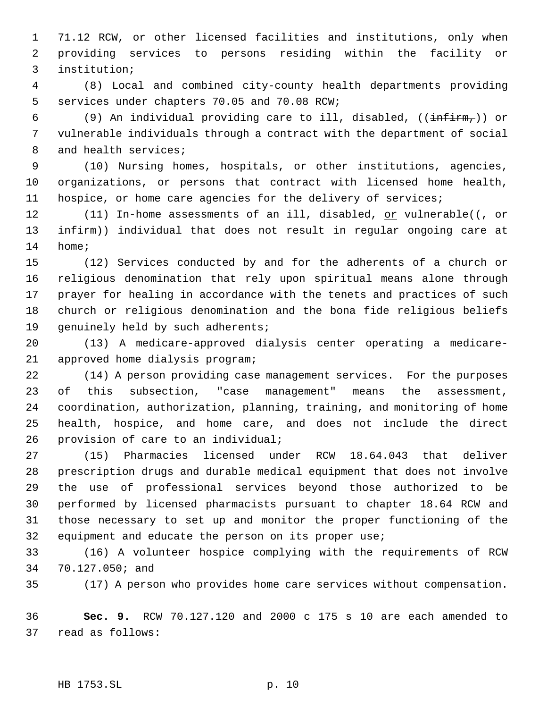71.12 RCW, or other licensed facilities and institutions, only when providing services to persons residing within the facility or institution;

 (8) Local and combined city-county health departments providing services under chapters 70.05 and 70.08 RCW;

6 (9) An individual providing care to ill, disabled,  $((\text{infirm}_t))$  or vulnerable individuals through a contract with the department of social 8 and health services;

 (10) Nursing homes, hospitals, or other institutions, agencies, organizations, or persons that contract with licensed home health, 11 hospice, or home care agencies for the delivery of services;

12 (11) In-home assessments of an ill, disabled, or vulnerable(( $\frac{1}{100}$ 13 infirm)) individual that does not result in regular ongoing care at home;

 (12) Services conducted by and for the adherents of a church or religious denomination that rely upon spiritual means alone through prayer for healing in accordance with the tenets and practices of such church or religious denomination and the bona fide religious beliefs 19 genuinely held by such adherents;

 (13) A medicare-approved dialysis center operating a medicare-approved home dialysis program;

 (14) A person providing case management services. For the purposes of this subsection, "case management" means the assessment, coordination, authorization, planning, training, and monitoring of home health, hospice, and home care, and does not include the direct provision of care to an individual;

 (15) Pharmacies licensed under RCW 18.64.043 that deliver prescription drugs and durable medical equipment that does not involve the use of professional services beyond those authorized to be performed by licensed pharmacists pursuant to chapter 18.64 RCW and those necessary to set up and monitor the proper functioning of the equipment and educate the person on its proper use;

 (16) A volunteer hospice complying with the requirements of RCW 70.127.050; and

(17) A person who provides home care services without compensation.

 **Sec. 9.** RCW 70.127.120 and 2000 c 175 s 10 are each amended to read as follows: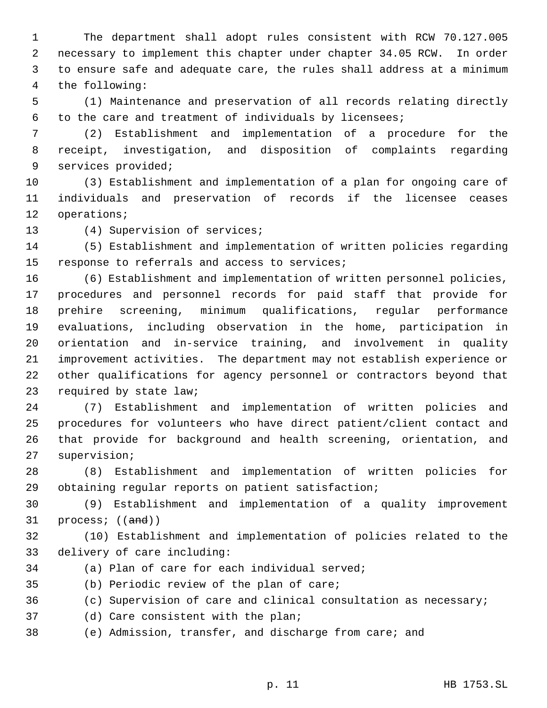The department shall adopt rules consistent with RCW 70.127.005 necessary to implement this chapter under chapter 34.05 RCW. In order to ensure safe and adequate care, the rules shall address at a minimum the following:

 (1) Maintenance and preservation of all records relating directly to the care and treatment of individuals by licensees;

 (2) Establishment and implementation of a procedure for the receipt, investigation, and disposition of complaints regarding services provided;

 (3) Establishment and implementation of a plan for ongoing care of individuals and preservation of records if the licensee ceases operations;

(4) Supervision of services;

 (5) Establishment and implementation of written policies regarding response to referrals and access to services;

 (6) Establishment and implementation of written personnel policies, procedures and personnel records for paid staff that provide for prehire screening, minimum qualifications, regular performance evaluations, including observation in the home, participation in orientation and in-service training, and involvement in quality improvement activities. The department may not establish experience or other qualifications for agency personnel or contractors beyond that required by state law;

 (7) Establishment and implementation of written policies and procedures for volunteers who have direct patient/client contact and that provide for background and health screening, orientation, and supervision;

 (8) Establishment and implementation of written policies for obtaining regular reports on patient satisfaction;

 (9) Establishment and implementation of a quality improvement 31 process; ((and))

 (10) Establishment and implementation of policies related to the delivery of care including:

(a) Plan of care for each individual served;

(b) Periodic review of the plan of care;

(c) Supervision of care and clinical consultation as necessary;

(d) Care consistent with the plan;

(e) Admission, transfer, and discharge from care; and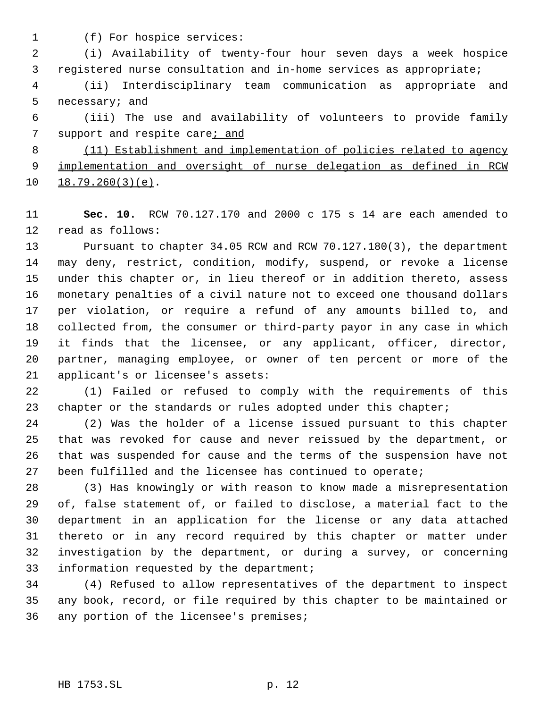(f) For hospice services:

 (i) Availability of twenty-four hour seven days a week hospice registered nurse consultation and in-home services as appropriate;

 (ii) Interdisciplinary team communication as appropriate and necessary; and

 (iii) The use and availability of volunteers to provide family 7 support and respite care; and

 (11) Establishment and implementation of policies related to agency 9 implementation and oversight of nurse delegation as defined in RCW 18.79.260(3)(e).

 **Sec. 10.** RCW 70.127.170 and 2000 c 175 s 14 are each amended to read as follows:

 Pursuant to chapter 34.05 RCW and RCW 70.127.180(3), the department may deny, restrict, condition, modify, suspend, or revoke a license under this chapter or, in lieu thereof or in addition thereto, assess monetary penalties of a civil nature not to exceed one thousand dollars per violation, or require a refund of any amounts billed to, and collected from, the consumer or third-party payor in any case in which it finds that the licensee, or any applicant, officer, director, partner, managing employee, or owner of ten percent or more of the applicant's or licensee's assets:

 (1) Failed or refused to comply with the requirements of this 23 chapter or the standards or rules adopted under this chapter;

 (2) Was the holder of a license issued pursuant to this chapter that was revoked for cause and never reissued by the department, or that was suspended for cause and the terms of the suspension have not been fulfilled and the licensee has continued to operate;

 (3) Has knowingly or with reason to know made a misrepresentation of, false statement of, or failed to disclose, a material fact to the department in an application for the license or any data attached thereto or in any record required by this chapter or matter under investigation by the department, or during a survey, or concerning 33 information requested by the department;

 (4) Refused to allow representatives of the department to inspect any book, record, or file required by this chapter to be maintained or any portion of the licensee's premises;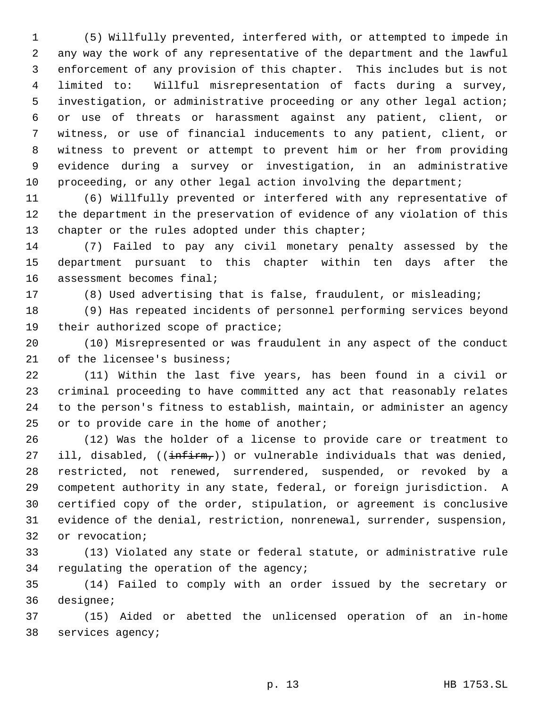(5) Willfully prevented, interfered with, or attempted to impede in any way the work of any representative of the department and the lawful enforcement of any provision of this chapter. This includes but is not limited to: Willful misrepresentation of facts during a survey, investigation, or administrative proceeding or any other legal action; or use of threats or harassment against any patient, client, or witness, or use of financial inducements to any patient, client, or witness to prevent or attempt to prevent him or her from providing evidence during a survey or investigation, in an administrative 10 proceeding, or any other legal action involving the department;

 (6) Willfully prevented or interfered with any representative of the department in the preservation of evidence of any violation of this 13 chapter or the rules adopted under this chapter;

 (7) Failed to pay any civil monetary penalty assessed by the department pursuant to this chapter within ten days after the assessment becomes final;

(8) Used advertising that is false, fraudulent, or misleading;

 (9) Has repeated incidents of personnel performing services beyond their authorized scope of practice;

 (10) Misrepresented or was fraudulent in any aspect of the conduct 21 of the licensee's business;

 (11) Within the last five years, has been found in a civil or criminal proceeding to have committed any act that reasonably relates to the person's fitness to establish, maintain, or administer an agency 25 or to provide care in the home of another;

 (12) Was the holder of a license to provide care or treatment to 27 ill, disabled,  $((\text{infirm}_r))$  or vulnerable individuals that was denied, restricted, not renewed, surrendered, suspended, or revoked by a competent authority in any state, federal, or foreign jurisdiction. A certified copy of the order, stipulation, or agreement is conclusive evidence of the denial, restriction, nonrenewal, surrender, suspension, or revocation;

 (13) Violated any state or federal statute, or administrative rule regulating the operation of the agency;

 (14) Failed to comply with an order issued by the secretary or designee;

 (15) Aided or abetted the unlicensed operation of an in-home services agency;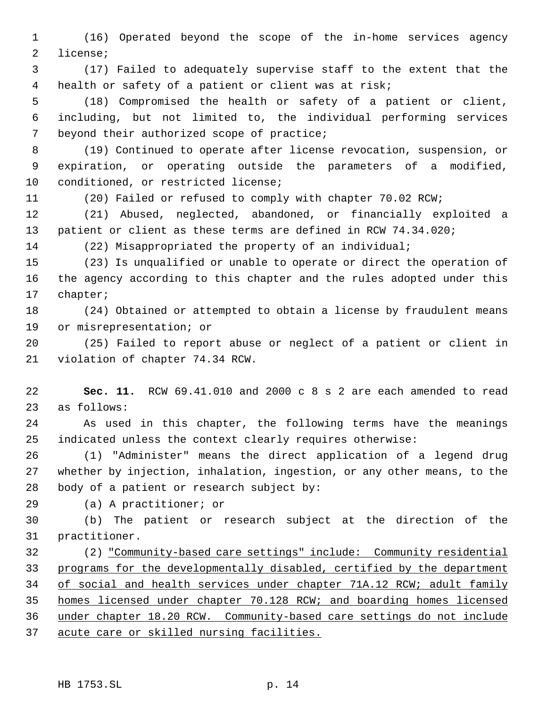(16) Operated beyond the scope of the in-home services agency license;

 (17) Failed to adequately supervise staff to the extent that the health or safety of a patient or client was at risk;

 (18) Compromised the health or safety of a patient or client, including, but not limited to, the individual performing services beyond their authorized scope of practice;

 (19) Continued to operate after license revocation, suspension, or expiration, or operating outside the parameters of a modified, conditioned, or restricted license;

(20) Failed or refused to comply with chapter 70.02 RCW;

 (21) Abused, neglected, abandoned, or financially exploited a patient or client as these terms are defined in RCW 74.34.020;

(22) Misappropriated the property of an individual;

 (23) Is unqualified or unable to operate or direct the operation of the agency according to this chapter and the rules adopted under this chapter;

 (24) Obtained or attempted to obtain a license by fraudulent means or misrepresentation; or

 (25) Failed to report abuse or neglect of a patient or client in violation of chapter 74.34 RCW.

 **Sec. 11.** RCW 69.41.010 and 2000 c 8 s 2 are each amended to read as follows:

 As used in this chapter, the following terms have the meanings indicated unless the context clearly requires otherwise:

 (1) "Administer" means the direct application of a legend drug whether by injection, inhalation, ingestion, or any other means, to the body of a patient or research subject by:

(a) A practitioner; or

 (b) The patient or research subject at the direction of the practitioner.

 (2) "Community-based care settings" include: Community residential programs for the developmentally disabled, certified by the department 34 of social and health services under chapter 71A.12 RCW; adult family homes licensed under chapter 70.128 RCW; and boarding homes licensed under chapter 18.20 RCW. Community-based care settings do not include acute care or skilled nursing facilities.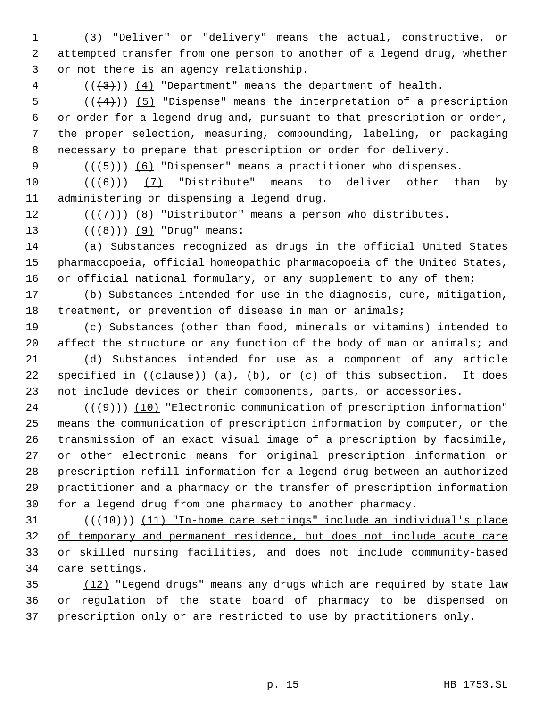(3) "Deliver" or "delivery" means the actual, constructive, or attempted transfer from one person to another of a legend drug, whether or not there is an agency relationship.

(( $(3)$ )) ( $4$ ) "Department" means the department of health.

 $((4+))$  (5) "Dispense" means the interpretation of a prescription or order for a legend drug and, pursuant to that prescription or order, the proper selection, measuring, compounding, labeling, or packaging necessary to prepare that prescription or order for delivery.

 $((+5))$   $(6)$  "Dispenser" means a practitioner who dispenses.

10  $((+6))$   $(7)$  "Distribute" means to deliver other than by administering or dispensing a legend drug.

12  $((\langle 7 \rangle)(8)$  "Distributor" means a person who distributes.

13  $((+8))$   $(9)$  "Drug" means:

 (a) Substances recognized as drugs in the official United States pharmacopoeia, official homeopathic pharmacopoeia of the United States, or official national formulary, or any supplement to any of them;

 (b) Substances intended for use in the diagnosis, cure, mitigation, treatment, or prevention of disease in man or animals;

 (c) Substances (other than food, minerals or vitamins) intended to 20 affect the structure or any function of the body of man or animals; and

 (d) Substances intended for use as a component of any article 22 specified in  $((**clause**))$  (a), (b), or (c) of this subsection. It does not include devices or their components, parts, or accessories.

 $((+9))$   $(10)$  "Electronic communication of prescription information" means the communication of prescription information by computer, or the transmission of an exact visual image of a prescription by facsimile, or other electronic means for original prescription information or prescription refill information for a legend drug between an authorized practitioner and a pharmacy or the transfer of prescription information for a legend drug from one pharmacy to another pharmacy.

 ( $(\overline{+10})$ ) (11) "In-home care settings" include an individual's place of temporary and permanent residence, but does not include acute care or skilled nursing facilities, and does not include community-based 34 care settings.

 (12) "Legend drugs" means any drugs which are required by state law or regulation of the state board of pharmacy to be dispensed on prescription only or are restricted to use by practitioners only.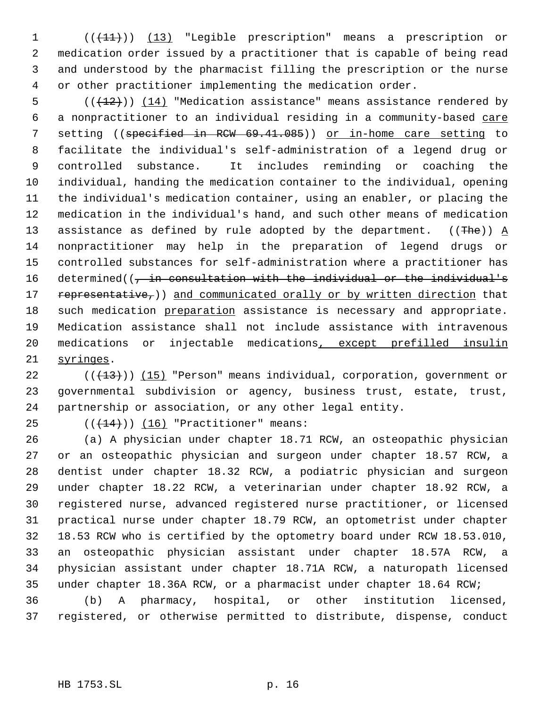1 (( $(11)$ )) (13) "Legible prescription" means a prescription or medication order issued by a practitioner that is capable of being read and understood by the pharmacist filling the prescription or the nurse or other practitioner implementing the medication order.

 $((+12))$   $(14)$  "Medication assistance" means assistance rendered by a nonpractitioner to an individual residing in a community-based care 7 setting ((specified in RCW 69.41.085)) or in-home care setting to facilitate the individual's self-administration of a legend drug or controlled substance. It includes reminding or coaching the individual, handing the medication container to the individual, opening the individual's medication container, using an enabler, or placing the medication in the individual's hand, and such other means of medication 13 assistance as defined by rule adopted by the department. ((The))  $\underline{A}$  nonpractitioner may help in the preparation of legend drugs or controlled substances for self-administration where a practitioner has 16 determined((, in consultation with the individual or the individual's 17 representative,)) and communicated orally or by written direction that 18 such medication preparation assistance is necessary and appropriate. Medication assistance shall not include assistance with intravenous 20 medications or injectable medications, except prefilled insulin syringes.

22  $((+13))$   $(15)$  "Person" means individual, corporation, government or governmental subdivision or agency, business trust, estate, trust, partnership or association, or any other legal entity.

25  $((+14))$  (16) "Practitioner" means:

 (a) A physician under chapter 18.71 RCW, an osteopathic physician or an osteopathic physician and surgeon under chapter 18.57 RCW, a dentist under chapter 18.32 RCW, a podiatric physician and surgeon under chapter 18.22 RCW, a veterinarian under chapter 18.92 RCW, a registered nurse, advanced registered nurse practitioner, or licensed practical nurse under chapter 18.79 RCW, an optometrist under chapter 18.53 RCW who is certified by the optometry board under RCW 18.53.010, an osteopathic physician assistant under chapter 18.57A RCW, a physician assistant under chapter 18.71A RCW, a naturopath licensed under chapter 18.36A RCW, or a pharmacist under chapter 18.64 RCW; (b) A pharmacy, hospital, or other institution licensed, registered, or otherwise permitted to distribute, dispense, conduct